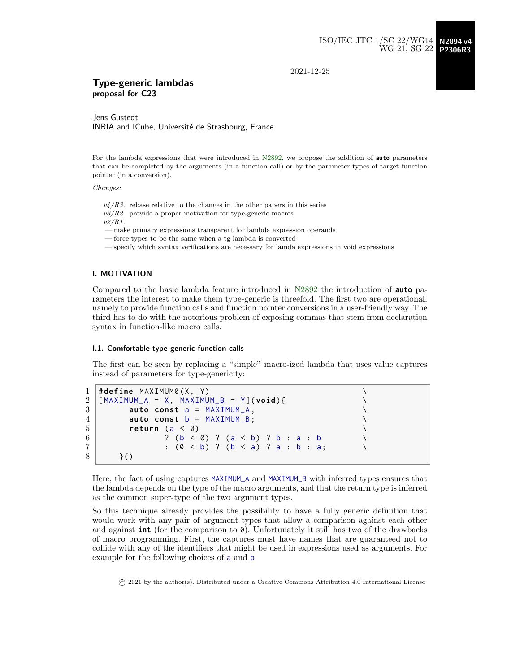2021-12-25

## Type-generic lambdas proposal for C23

Jens Gustedt INRIA and ICube, Université de Strasbourg, France

For the lambda expressions that were introduced in [N2892,](http://www.open-std.org/jtc1/sc22/wg14/www/docs/n2892.pdf) we propose the addition of **auto** parameters that can be completed by the arguments (in a function call) or by the parameter types of target function pointer (in a conversion).

Changes:

 $v/RS$ . rebase relative to the changes in the other papers in this series  $v3/R2$ . provide a proper motivation for type-generic macros

v2/R1.

— make primary expressions transparent for lambda expression operands

— force types to be the same when a tg lambda is converted

— specify which syntax verifications are necessary for lamda expressions in void expressions

### I. MOTIVATION

Compared to the basic lambda feature introduced in [N2892](http://www.open-std.org/jtc1/sc22/wg14/www/docs/n2892.pdf) the introduction of **auto** parameters the interest to make them type-generic is threefold. The first two are operational, namely to provide function calls and function pointer conversions in a user-friendly way. The third has to do with the notorious problem of exposing commas that stem from declaration syntax in function-like macro calls.

### I.1. Comfortable type-generic function calls

The first can be seen by replacing a "simple" macro-ized lambda that uses value captures instead of parameters for type-genericity:

```
1 # define MAXIMUM0 (X , Y ) \
2 \mid \text{[MAXIMUM_A = X, MAXIMUM_B = Y](void) { \
3 auto const a = MAXIMUM_A;
4 auto const b = MAXIMUM_B ; \
\begin{array}{ccc} 5 & \text{return} & (a < 0) \end{array}6 \vert ? (b < 0) ? (a < b) ? b : a : b \vert7 | : (0 < b) ? (b < a) ? a : b : a; \setminus8 | \t} }()
```
Here, the fact of using captures MAXIMUM\_A and MAXIMUM\_B with inferred types ensures that the lambda depends on the type of the macro arguments, and that the return type is inferred as the common super-type of the two argument types.

So this technique already provides the possibility to have a fully generic definition that would work with any pair of argument types that allow a comparison against each other and against **int** (for the comparison to  $\theta$ ). Unfortunately it still has two of the drawbacks of macro programming. First, the captures must have names that are guaranteed not to collide with any of the identifiers that might be used in expressions used as arguments. For example for the following choices of a and b

© 2021 by the author(s). Distributed under a Creative Commons Attribution 4.0 International License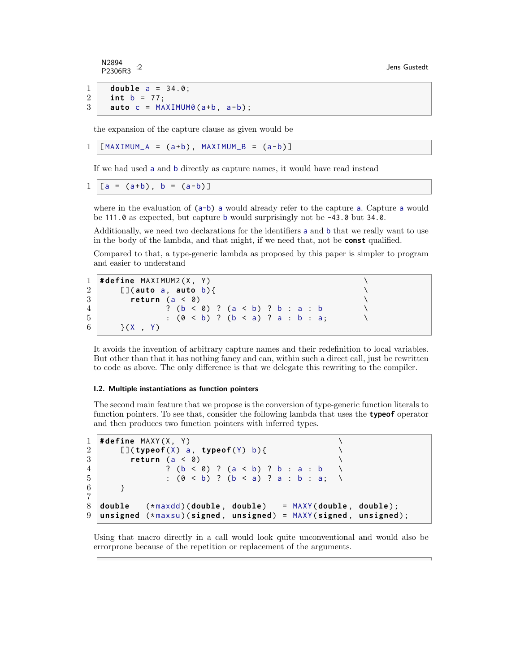N2894 N2094<br>P2306R3<sup>2</sup>

```
1 double a = 34.0;
2 int b = 77;
3 auto c = MAXIMUM@(a+b, a-b);
```
the expansion of the capture clause as given would be

```
1 \lceil MAXIMUM_A = (a+b), MAXIMUM_B = (a-b)]
```
If we had used a and b directly as capture names, it would have read instead

 $1 \mid [a = (a+b), b = (a-b)]$ 

where in the evaluation of  $(a-b)$  a would already refer to the capture a. Capture a would be 111.0 as expected, but capture b would surprisingly not be -43.0 but 34.0.

Additionally, we need two declarations for the identifiers a and b that we really want to use in the body of the lambda, and that might, if we need that, not be **const** qualified.

Compared to that, a type-generic lambda as proposed by this paper is simpler to program and easier to understand

```
\frac{1}{2} # define MAXIMUM2(X, Y) \qquad \qquad \qquad (T(auto a, auto b) {
       [ ](auto a, auto b){
\begin{array}{ccc} 3 & \textbf{return} & (a < 0) \end{array}4 \vert ? (b < 0) ? (a < b) ? b : a : b
\begin{array}{ccccccc} 5 & & & & \cdot & (0 < b) & ? & (b < a) & ? & a & : b & : a; \end{array}6 }(X, Y)
```
It avoids the invention of arbitrary capture names and their redefinition to local variables. But other than that it has nothing fancy and can, within such a direct call, just be rewritten to code as above. The only difference is that we delegate this rewriting to the compiler.

#### I.2. Multiple instantiations as function pointers

The second main feature that we propose is the conversion of type-generic function literals to function pointers. To see that, consider the following lambda that uses the **typeof** operator and then produces two function pointers with inferred types.

```
1 \mid # \text{define MAXY(X, Y)}2 \bigcup \{ \text{typeof}(\text{X}) \text{ a}, \text{ typeof}(\text{Y}) \text{ b} \} {
\begin{array}{ccc} 3 & \text{return} & (a < 0) \end{array}4 | ? (b < 0) ? (a < b) ? b : a : b \
5 : (0 < b) ? (b < a) ? a : b : a;6 }
7
8 double (* maxdd ) ( double , double ) = MAXY ( double , double ) ;
9 unsigned (* maxsu ) ( signed , unsigned ) = MAXY ( signed , unsigned ) ;
```
Using that macro directly in a call would look quite unconventional and would also be errorprone because of the repetition or replacement of the arguments.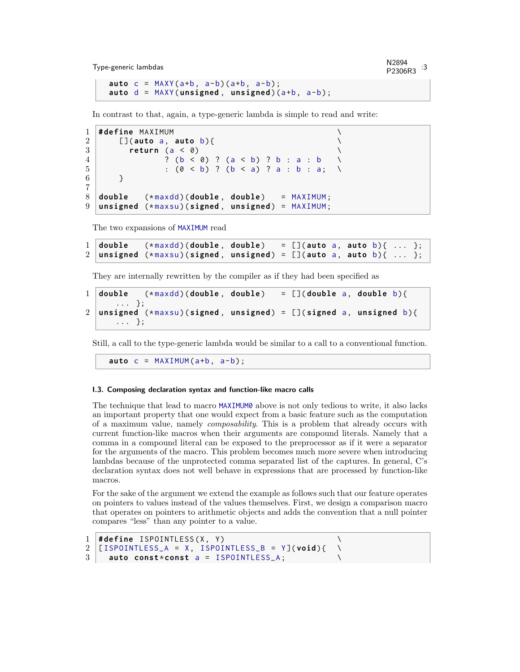Type-generic lambdas N2894

P<sub>2306R3</sub> :3

```
auto c = MAXY (a+b, a-b) (a+b, a-b) ;
auto d = MAXY ( unsigned , unsigned ) (a+b, a-b) ;
```
In contrast to that, again, a type-generic lambda is simple to read and write:

```
1 # define MAXIMUM \
2 []( auto a, auto b) { \qquad \qquad \setminus3 return (a < 0)
4 ? (b < 0) ? (a < b) ? b : a : b \
5 (0 < b) ? (b < a) ? a : b : a;6 }
7
8 double (* maxdd ) ( double , double ) = MAXIMUM ;
9 unsigned (* maxsu ) ( signed , unsigned ) = MAXIMUM ;
```
The two expansions of MAXIMUM read

```
1 double (* maxdd ) ( double , double ) = []( auto a, auto b) { ... };
2 \text{ } unsigned (* maxsu)(signed, unsigned) = [\text{]}(auto a, auto b){ ... };
```
They are internally rewritten by the compiler as if they had been specified as

```
1 double (* maxdd ) ( double , double ) = []( double a, double b) {
      ... };
2 unsigned (* maxsu ) ( signed , unsigned ) = []( signed a, unsigned b) {
      ... };
```
Still, a call to the type-generic lambda would be similar to a call to a conventional function.

 $auto c = MAXIMUM(a+b, a-b);$ 

#### I.3. Composing declaration syntax and function-like macro calls

The technique that lead to macro MAXIMUM0 above is not only tedious to write, it also lacks an important property that one would expect from a basic feature such as the computation of a maximum value, namely composability. This is a problem that already occurs with current function-like macros when their arguments are compound literals. Namely that a comma in a compound literal can be exposed to the preprocessor as if it were a separator for the arguments of the macro. This problem becomes much more severe when introducing lambdas because of the unprotected comma separated list of the captures. In general, C's declaration syntax does not well behave in expressions that are processed by function-like macros.

For the sake of the argument we extend the example as follows such that our feature operates on pointers to values instead of the values themselves. First, we design a comparison macro that operates on pointers to arithmetic objects and adds the convention that a null pointer compares "less" than any pointer to a value.

```
1 # define ISPOINTLESS (X , Y ) \
2 \vert [ISPOINTLESS_A = X, ISPOINTLESS_B = Y](\text{void}){
3 auto const*const a = ISPOINTLESS_A;
```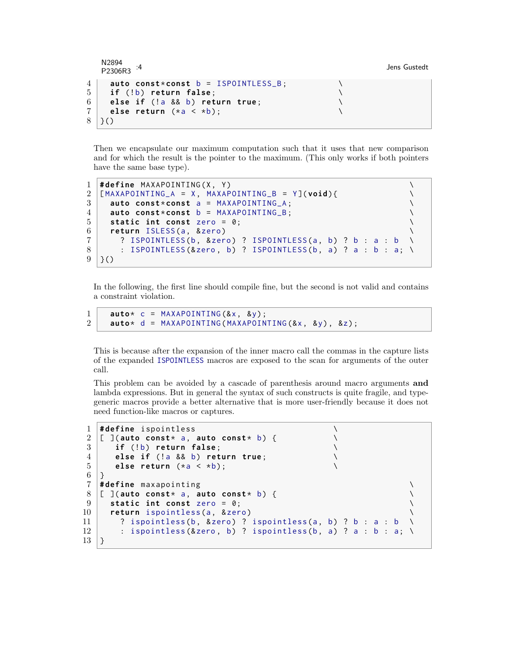```
N2894
  P2306R3<sup>:4</sup> Jens Gustedt
4 auto const*const b = ISPOINTLESS_B;
5 if (!b) return false ; \
6 else if (!a && b) return true;<br>7 else return (*a < *b);
   else return (*a < *b);
8 | \}()
```
Then we encapsulate our maximum computation such that it uses that new comparison and for which the result is the pointer to the maximum. (This only works if both pointers have the same base type).

```
1 # define MAXAPOINTING (X , Y ) \
2 \left[ \text{MAXAPOINTING_A} = X, \text{ MAXAPOINTING_B} = Y \right] (void) \{3 auto const * const a = MAXAPOINTING_A;
4 auto const * const b = MAXAPOINTING B;
5 static int const zero = 0; \
6 return ISLESS (a, & zero ) \
7 ? ISPOINTLESS (b, & zero ) ? ISPOINTLESS (a, b) ? b : a : b \
8 : ISPOINTLESS (&zero, b) ? ISPOINTLESS (b, a) ? a : b : a; \
9 | \}()
```
In the following, the first line should compile fine, but the second is not valid and contains a constraint violation.

```
1 auto* c = MAXAPOINTING(8x, 8y);
2 auto* d = MAXAPOINTING (MAXAPOINTING (8x, 8y), 8z);
```
This is because after the expansion of the inner macro call the commas in the capture lists of the expanded ISPOINTLESS macros are exposed to the scan for arguments of the outer call.

This problem can be avoided by a cascade of parenthesis around macro arguments and lambda expressions. But in general the syntax of such constructs is quite fragile, and typegeneric macros provide a better alternative that is more user-friendly because it does not need function-like macros or captures.

```
1 # define ispointless \
2 \mid [ ](auto const* a, auto const* b) { \setminus3 if (!b) return false ; \
4 else if (!a && b) return true ; \
5 else return (*a < *b);
6 | \}7 # define maxapointing \
8 \mid[ ](auto const* a, auto const* b) {
9 static int const zero = 0; \
10 return ispointless (a, & zero)
11 ? ispointless (b, & zero) ? ispointless (a, b) ? b : a : b \setminus12 : ispointless (& zero, b) ? ispointless (b, a) ? a : b : a;
13 }
```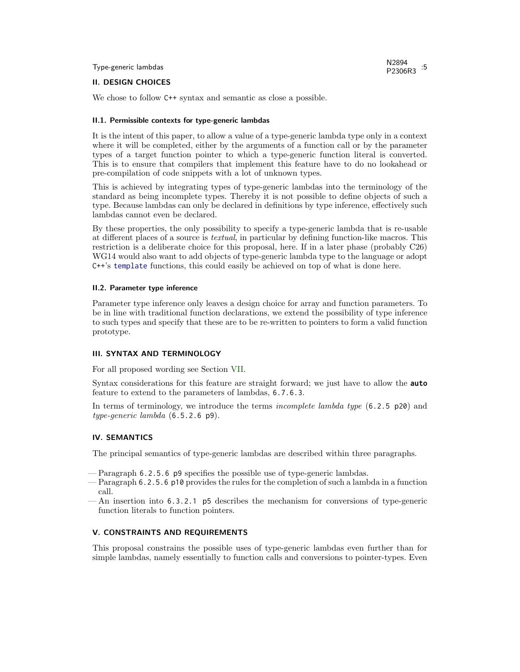Type-generic lambdas N2894

### II. DESIGN CHOICES

We chose to follow  $C^{++}$  syntax and semantic as close a possible.

### II.1. Permissible contexts for type-generic lambdas

It is the intent of this paper, to allow a value of a type-generic lambda type only in a context where it will be completed, either by the arguments of a function call or by the parameter types of a target function pointer to which a type-generic function literal is converted. This is to ensure that compilers that implement this feature have to do no lookahead or pre-compilation of code snippets with a lot of unknown types.

This is achieved by integrating types of type-generic lambdas into the terminology of the standard as being incomplete types. Thereby it is not possible to define objects of such a type. Because lambdas can only be declared in definitions by type inference, effectively such lambdas cannot even be declared.

By these properties, the only possibility to specify a type-generic lambda that is re-usable at different places of a source is textual, in particular by defining function-like macros. This restriction is a deliberate choice for this proposal, here. If in a later phase (probably C26) WG14 would also want to add objects of type-generic lambda type to the language or adopt C++'s template functions, this could easily be achieved on top of what is done here.

### II.2. Parameter type inference

Parameter type inference only leaves a design choice for array and function parameters. To be in line with traditional function declarations, we extend the possibility of type inference to such types and specify that these are to be re-written to pointers to form a valid function prototype.

### III. SYNTAX AND TERMINOLOGY

For all proposed wording see Section [VII.](#page-6-0)

Syntax considerations for this feature are straight forward; we just have to allow the **auto** feature to extend to the parameters of lambdas, 6.7.6.3.

In terms of terminology, we introduce the terms *incomplete lambda type*  $(6.2.5 \text{ p20})$  and type-generic lambda (6.5.2.6 p9).

### IV. SEMANTICS

The principal semantics of type-generic lambdas are described within three paragraphs.

- Paragraph 6.2.5.6 p9 specifies the possible use of type-generic lambdas.
- Paragraph 6.2.5.6 p10 provides the rules for the completion of such a lambda in a function call.
- An insertion into 6.3.2.1 p5 describes the mechanism for conversions of type-generic function literals to function pointers.

### V. CONSTRAINTS AND REQUIREMENTS

This proposal constrains the possible uses of type-generic lambdas even further than for simple lambdas, namely essentially to function calls and conversions to pointer-types. Even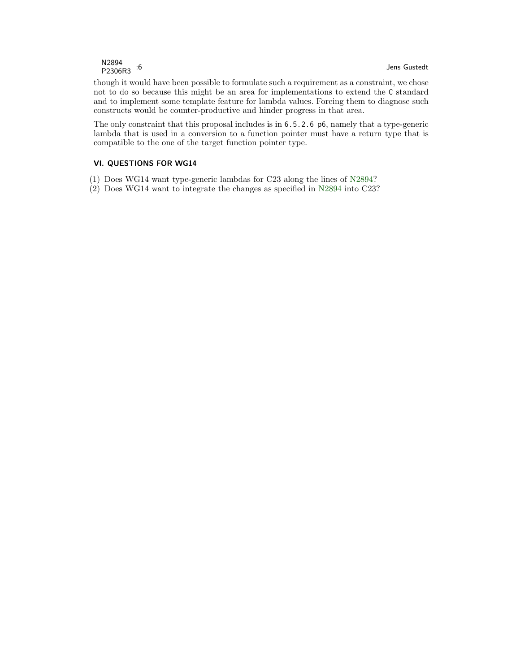though it would have been possible to formulate such a requirement as a constraint, we chose not to do so because this might be an area for implementations to extend the C standard and to implement some template feature for lambda values. Forcing them to diagnose such constructs would be counter-productive and hinder progress in that area.

The only constraint that this proposal includes is in 6.5.2.6 p6, namely that a type-generic lambda that is used in a conversion to a function pointer must have a return type that is compatible to the one of the target function pointer type.

### VI. QUESTIONS FOR WG14

- (1) Does WG14 want type-generic lambdas for C23 along the lines of [N2894?](http://www.open-std.org/jtc1/sc22/wg14/www/docs/n2894.pdf)
- (2) Does WG14 want to integrate the changes as specified in [N2894](http://www.open-std.org/jtc1/sc22/wg14/www/docs/n2894.pdf) into C23?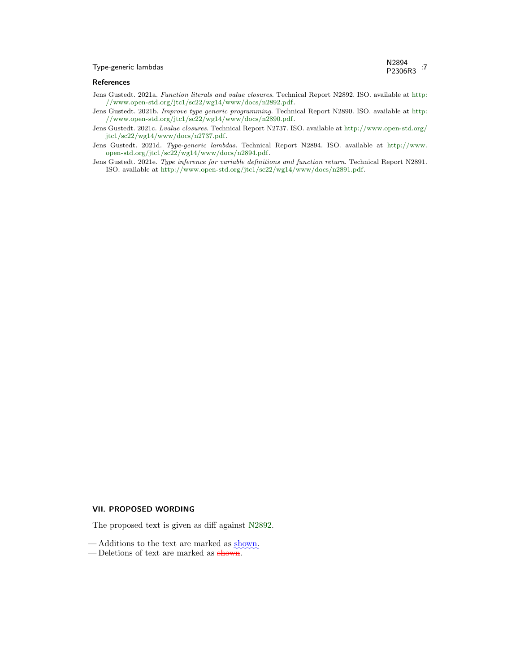# Type-generic lambdas N2894

#### References

- Jens Gustedt. 2021a. Function literals and value closures. Technical Report N2892. ISO. available at [http:](http://www.open-std.org/jtc1/sc22/wg14/www/docs/n2892.pdf)  $// \label{lem:conv} {\rm \ ~www. open-std.org/jet1/sc22/wg14/www/docs/n2892.pdf}.$
- Jens Gustedt. 2021b. Improve type generic programming. Technical Report N2890. ISO. available at [http:](http://www.open-std.org/jtc1/sc22/wg14/www/docs/n2890.pdf)  $// \text{www.open-std.org/jet1}/\text{sc22/wg14}/\text{www}/\text{docs}/\text{n2890.pdf}.$
- Jens Gustedt. 2021c. Lvalue closures. Technical Report N2737. ISO. available at [http://www.open-std.org/](http://www.open-std.org/jtc1/sc22/wg14/www/docs/n2737.pdf) [jtc1/sc22/wg14/www/docs/n2737.pdf.](http://www.open-std.org/jtc1/sc22/wg14/www/docs/n2737.pdf)
- Jens Gustedt. 2021d. Type-generic lambdas. Technical Report N2894. ISO. available at [http://www.](http://www.open-std.org/jtc1/sc22/wg14/www/docs/n2894.pdf) [open-std.org/jtc1/sc22/wg14/www/docs/n2894.pdf.](http://www.open-std.org/jtc1/sc22/wg14/www/docs/n2894.pdf)
- Jens Gustedt. 2021e. Type inference for variable definitions and function return. Technical Report N2891. ISO. available at [http://www.open-std.org/jtc1/sc22/wg14/www/docs/n2891.pdf.](http://www.open-std.org/jtc1/sc22/wg14/www/docs/n2891.pdf)

### <span id="page-6-0"></span>VII. PROPOSED WORDING

The proposed text is given as diff against [N2892.](http://www.open-std.org/jtc1/sc22/wg14/www/docs/n2892.pdf)

- $-$  Additions to the text are marked as shown.
- Deletions of text are marked as shown.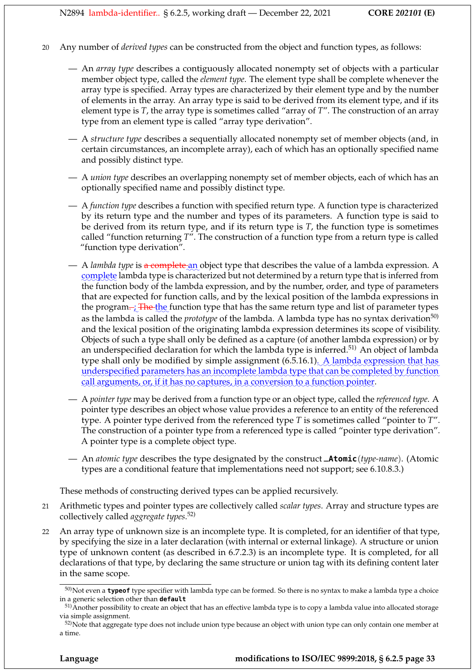- 20 Any number of *derived types* can be constructed from the object and function types, as follows:
	- An *array type* describes a contiguously allocated nonempty set of objects with a particular member object type, called the *element type*. The element type shall be complete whenever the array type is specified. Array types are characterized by their element type and by the number of elements in the array. An array type is said to be derived from its element type, and if its element type is *T*, the array type is sometimes called "array of *T*". The construction of an array type from an element type is called "array type derivation".
	- A *structure type* describes a sequentially allocated nonempty set of member objects (and, in certain circumstances, an incomplete array), each of which has an optionally specified name and possibly distinct type.
	- A *union type* describes an overlapping nonempty set of member objects, each of which has an optionally specified name and possibly distinct type.
	- A *function type* describes a function with specified return type. A function type is characterized by its return type and the number and types of its parameters. A function type is said to be derived from its return type, and if its return type is *T*, the function type is sometimes called "function returning *T*". The construction of a function type from a return type is called "function type derivation".
	- A *lambda type* is <del>a complete an</del> object type that describes the value of a lambda expression. A complete lambda type is characterized but not determined by a return type that is inferred from the function body of the lambda expression, and by the number, order, and type of parameters that are expected for function calls, and by the lexical position of the lambda expressions in the program<del>. <u>;</u> The the</del> function type that has the same return type and list of parameter types as the lambda is called the *prototype* of the lambda. A lambda type has no syntax derivation<sup>50)</sup> and the lexical position of the originating lambda expression determines its scope of visibility. Objects of such a type shall only be defined as a capture (of another lambda expression) or by an underspecified declaration for which the lambda type is inferred.51) An object of lambda type shall only be modified by simple assignment (6.5.16.1). A lambda expression that has underspecified parameters has an incomplete lambda type that can be completed by function call arguments, or, if it has no captures, in a conversion to a function pointer.
	- A *pointer type* may be derived from a function type or an object type, called the *referenced type*. A pointer type describes an object whose value provides a reference to an entity of the referenced type. A pointer type derived from the referenced type *T* is sometimes called "pointer to *T*". The construction of a pointer type from a referenced type is called "pointer type derivation". A pointer type is a complete object type.
	- An *atomic type* describes the type designated by the construct **\_Atomic**(*type-name*). (Atomic types are a conditional feature that implementations need not support; see 6.10.8.3.)

These methods of constructing derived types can be applied recursively.

- 21 Arithmetic types and pointer types are collectively called *scalar types*. Array and structure types are collectively called *aggregate types*. 52)
- An array type of unknown size is an incomplete type. It is completed, for an identifier of that type, by specifying the size in a later declaration (with internal or external linkage). A structure or union type of unknown content (as described in 6.7.2.3) is an incomplete type. It is completed, for all declarations of that type, by declaring the same structure or union tag with its defining content later in the same scope.

<sup>50)</sup>Not even a **typeof** type specifier with lambda type can be formed. So there is no syntax to make a lambda type a choice in a generic selection other than **default**

<sup>&</sup>lt;sup>51)</sup>Another possibility to create an object that has an effective lambda type is to copy a lambda value into allocated storage via simple assignment.

 $52)$ Note that aggregate type does not include union type because an object with union type can only contain one member at a time.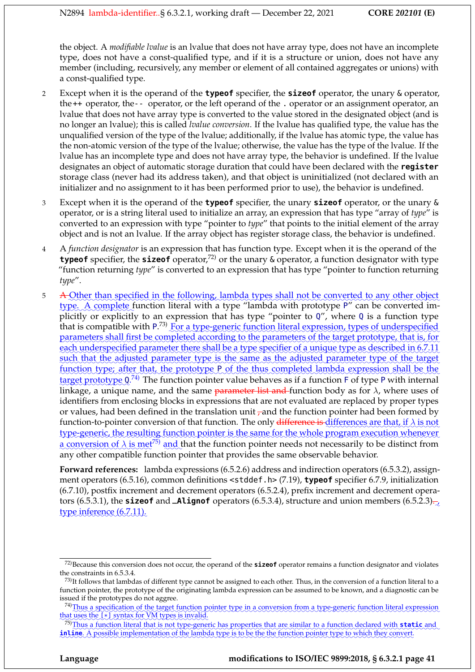the object. A *modifiable lvalue* is an lvalue that does not have array type, does not have an incomplete type, does not have a const-qualified type, and if it is a structure or union, does not have any member (including, recursively, any member or element of all contained aggregates or unions) with a const-qualified type.

- 2 Except when it is the operand of the **typeof** specifier, the **sizeof** operator, the unary & operator, the++ operator, the-- operator, or the left operand of the . operator or an assignment operator, an lvalue that does not have array type is converted to the value stored in the designated object (and is no longer an lvalue); this is called *lvalue conversion*. If the lvalue has qualified type, the value has the unqualified version of the type of the lvalue; additionally, if the lvalue has atomic type, the value has the non-atomic version of the type of the lvalue; otherwise, the value has the type of the lvalue. If the lvalue has an incomplete type and does not have array type, the behavior is undefined. If the lvalue designates an object of automatic storage duration that could have been declared with the **register** storage class (never had its address taken), and that object is uninitialized (not declared with an initializer and no assignment to it has been performed prior to use), the behavior is undefined.
- 3 Except when it is the operand of the **typeof** specifier, the unary **sizeof** operator, or the unary & operator, or is a string literal used to initialize an array, an expression that has type "array of *type*" is converted to an expression with type "pointer to *type*" that points to the initial element of the array object and is not an lvalue. If the array object has register storage class, the behavior is undefined.
- 4 A *function designator* is an expression that has function type. Except when it is the operand of the **typeof** specifier, the **sizeof** operator,<sup>72)</sup> or the unary & operator, a function designator with type "function returning *type*" is converted to an expression that has type "pointer to function returning *type*".
- 5 A Qther than specified in the following, lambda types shall not be converted to any other object type. A complete function literal with a type "lambda with prototype P" can be converted implicitly or explicitly to an expression that has type "pointer to Q", where Q is a function type that is compatible with P.<sup>73)</sup> For a type-generic function literal expression, types of underspecified parameters shall first be completed according to the parameters of the target prototype, that is, for each underspecified parameter there shall be a type specifier of a unique type as described in 6.7.11 such that the adjusted parameter type is the same as the adjusted parameter type of the target function type; after that, the prototype P of the thus completed lambda expression shall be the target prototype  $Q^{(74)}$  The function pointer value behaves as if a function F of type P with internal linkage, a unique name, and the same parameter list and function body as for  $\lambda$ , where uses of identifiers from enclosing blocks in expressions that are not evaluated are replaced by proper types or values, had been defined in the translation unit  $<sub>τ</sub>$  and the function pointer had been formed by</sub> function-to-pointer conversion of that function. The only <del>difference is differences</del> are that, if  $\lambda$  is not type-generic, the resulting function pointer is the same for the whole program execution whenever a conversion of  $\lambda$  is met<sup>75)</sup> and that the function pointer needs not necessarily to be distinct from any other compatible function pointer that provides the same observable behavior.

**Forward references:** lambda expressions (6.5.2.6) address and indirection operators (6.5.3.2), assignment operators (6.5.16), common definitions <stddef.h> (7.19), **typeof** specifier 6.7.9, initialization (6.7.10), postfix increment and decrement operators (6.5.2.4), prefix increment and decrement operators (6.5.3.1), the **sizeof** and **\_Alignof** operators (6.5.3.4), structure and union members (6.5.2.3)<del>.</del> type inference (6.7.11).

<sup>72)</sup>Because this conversion does not occur, the operand of the **sizeof** operator remains a function designator and violates the constraints in 6.5.3.4.

 $73$ It follows that lambdas of different type cannot be assigned to each other. Thus, in the conversion of a function literal to a function pointer, the prototype of the originating lambda expression can be assumed to be known, and a diagnostic can be issued if the prototypes do not aggree.

<sup>74)</sup> Thus a specification of the target function pointer type in a conversion from a type-generic function literal expression ✿✿✿ ✿✿ ✿✿✿✿✿✿✿✿✿ ✿✿ ✿✿✿ ✿✿✿✿ ✿✿✿✿✿✿✿ that uses the [\*] syntax for VM types is invalid.

<sup>75)</sup> Thus a function literal that is not type-generic has properties that are similar to a function declared with **static** and inline. A possible implementation of the lambda type is to be the function pointer type to which they convert.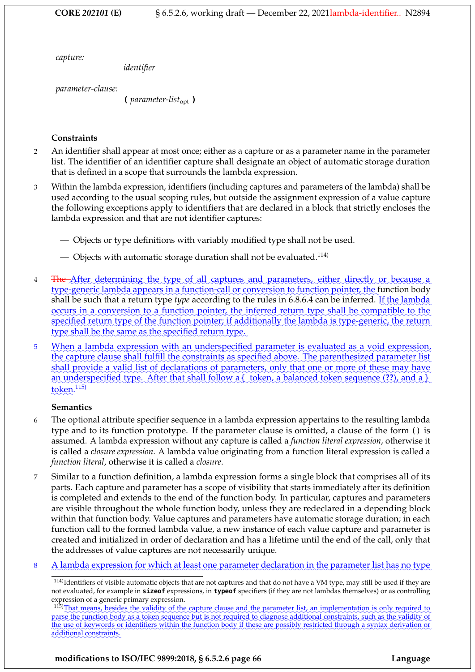*capture:*

*identifier*

*parameter-clause:*

**(** *parameter-list*opt **)**

## **Constraints**

- 2 An identifier shall appear at most once; either as a capture or as a parameter name in the parameter list. The identifier of an identifier capture shall designate an object of automatic storage duration that is defined in a scope that surrounds the lambda expression.
- 3 Within the lambda expression, identifiers (including captures and parameters of the lambda) shall be used according to the usual scoping rules, but outside the assignment expression of a value capture the following exceptions apply to identifiers that are declared in a block that strictly encloses the lambda expression and that are not identifier captures:
	- Objects or type definitions with variably modified type shall not be used.
	- Objects with automatic storage duration shall not be evaluated.<sup>114)</sup>
- 4 The After determining the type of all captures and parameters, either directly or because a type-generic lambda appears in a function-call or conversion to function pointer, the function body shall be such that a return type *type* according to the rules in 6.8.6.4 can be inferred. <u>If the lambda</u> occurs in a conversion to a function pointer, the inferred return type shall be compatible to the specified return type of the function pointer; if additionally the lambda is type-generic, the return type shall be the same as the specified return type.
- 5 When a lambda expression with an underspecified parameter is evaluated as a void expression, the capture clause shall fulfill the constraints as specified above. The parenthesized parameter list shall provide a valid list of declarations of parameters, only that one or more of these may have an underspecified type. After that shall follow a L token, a balanced token sequence (??), and a L  $\underline{\text{token}}$ . $^{115)}$

## **Semantics**

- 6 The optional attribute specifier sequence in a lambda expression appertains to the resulting lambda type and to its function prototype. If the parameter clause is omitted, a clause of the form () is assumed. A lambda expression without any capture is called a *function literal expression*, otherwise it is called a *closure expression*. A lambda value originating from a function literal expression is called a *function literal*, otherwise it is called a *closure*.
- 7 Similar to a function definition, a lambda expression forms a single block that comprises all of its parts. Each capture and parameter has a scope of visibility that starts immediately after its definition is completed and extends to the end of the function body. In particular, captures and parameters are visible throughout the whole function body, unless they are redeclared in a depending block within that function body. Value captures and parameters have automatic storage duration; in each function call to the formed lambda value, a new instance of each value capture and parameter is created and initialized in order of declaration and has a lifetime until the end of the call, only that the addresses of value captures are not necessarily unique.
- 8 A lambda expression for which at least one parameter declaration in the parameter list has no type

<sup>&</sup>lt;sup>114)</sup>Identifiers of visible automatic objects that are not captures and that do not have a VM type, may still be used if they are not evaluated, for example in **sizeof** expressions, in **typeof** specifiers (if they are not lambdas themselves) or as controlling expression of a generic primary expression.

<sup>115)</sup> That means, besides the validity of the capture clause and the parameter list, an implementation is only required to parse the function body as a token sequence but is not required to diagnose additional constraints, such as the validity of the use of keywords or identifiers within the function body if these are possibly restricted through a syntax derivation or additional constraints.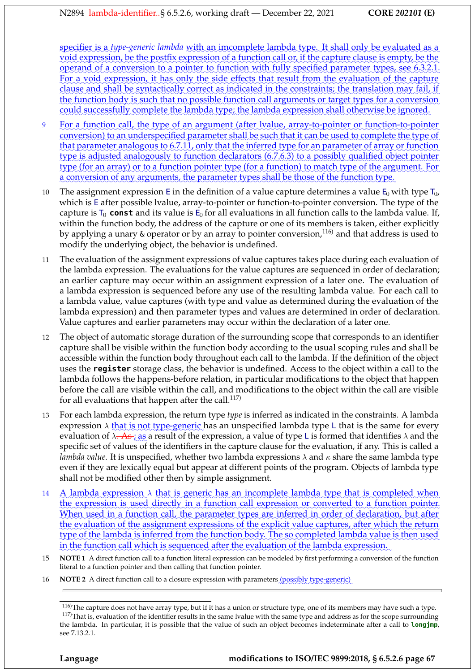specifier is a *type-generic lambda* with an imcomplete lambda type. It shall only be evaluated as a void expression, be the postfix expression of a function call or, if the capture clause is empty, be the operand of a conversion to a pointer to function with fully specified parameter types, see 6.3.2.1. For a void expression, it has only the side effects that result from the evaluation of the capture clause and shall be syntactically correct as indicated in the constraints; the translation may fail, if the function body is such that no possible function call arguments or target types for a conversion could successfully complete the lambda type; the lambda expression shall otherwise be ignored.

- 9 For a function call, the type of an argument (after lyalue, array-to-pointer or function-to-pointer conversion) to an underspecified parameter shall be such that it can be used to complete the type of that parameter analogous to 6.7.11, only that the inferred type for an parameter of array or function type is adjusted analogously to function declarators (6.7.6.3) to a possibly qualified object pointer type (for an array) or to a function pointer type (for a function) to match type of the argument. For a conversion of any arguments, the parameter types shall be those of the function type.
- The assignment expression E in the definition of a value capture determines a value  $E_0$  with type  $T_{0}$ , which is E after possible lvalue, array-to-pointer or function-to-pointer conversion. The type of the capture is  $T_0$  **const** and its value is  $E_0$  for all evaluations in all function calls to the lambda value. If, within the function body, the address of the capture or one of its members is taken, either explicitly by applying a unary  $\&$  operator or by an array to pointer conversion,  $^{116)}$  and that address is used to modify the underlying object, the behavior is undefined.
- 11 The evaluation of the assignment expressions of value captures takes place during each evaluation of the lambda expression. The evaluations for the value captures are sequenced in order of declaration; an earlier capture may occur within an assignment expression of a later one. The evaluation of a lambda expression is sequenced before any use of the resulting lambda value. For each call to a lambda value, value captures (with type and value as determined during the evaluation of the lambda expression) and then parameter types and values are determined in order of declaration. Value captures and earlier parameters may occur within the declaration of a later one.
- 12 The object of automatic storage duration of the surrounding scope that corresponds to an identifier capture shall be visible within the function body according to the usual scoping rules and shall be accessible within the function body throughout each call to the lambda. If the definition of the object uses the **register** storage class, the behavior is undefined. Access to the object within a call to the lambda follows the happens-before relation, in particular modifications to the object that happen before the call are visible within the call, and modifications to the object within the call are visible for all evaluations that happen after the call. $^{117}$
- 13 For each lambda expression, the return type *type* is inferred as indicated in the constraints. A lambda expression  $\lambda$  that is not type-generic has an unspecified lambda type L that is the same for every evaluation of  $\lambda$ <del>. As  $\lambda$  a</del>s a result of the expression, a value of type L is formed that identifies  $\lambda$  and the specific set of values of the identifiers in the capture clause for the evaluation, if any. This is called a *lambda value*. It is unspecified, whether two lambda expressions  $\lambda$  and  $\kappa$  share the same lambda type even if they are lexically equal but appear at different points of the program. Objects of lambda type shall not be modified other then by simple assignment.
- 14 A lambda expression  $\lambda$  that is generic has an incomplete lambda type that is completed when the expression is used directly in a function call expression or converted to a function pointer. When used in a function call, the parameter types are inferred in order of declaration, but after the evaluation of the assignment expressions of the explicit value captures, after which the return type of the lambda is inferred from the function body. The so completed lambda value is then used in the function call which is sequenced after the evaluation of the lambda expression.
- 15 **NOTE 1** A direct function call to a function literal expression can be modeled by first performing a conversion of the function literal to a function pointer and then calling that function pointer.
- 16 **NOTE 2** A direct function call to a closure expression with parameters (possibly type-generic)

<sup>&</sup>lt;sup>116)</sup>The capture does not have array type, but if it has a union or structure type, one of its members may have such a type. <sup>117)</sup>That is, evaluation of the identifier results in the same lvalue with the same type and address as for the scope surrounding the lambda. In particular, it is possible that the value of such an object becomes indeterminate after a call to **longjmp**, see 7.13.2.1.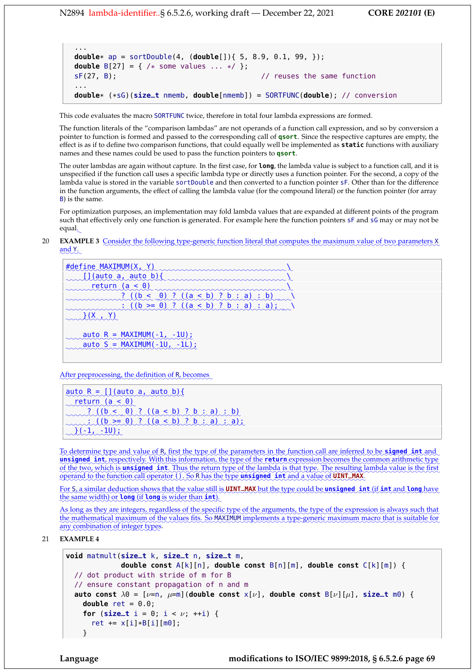```
...
double* ap = sortDouble(4, (double[]){ 5, 8.9, 0.1, 99, });
double B[27] = \{ / * some values ... */ };<br>SF(27, B);
                                                // reuses the same function
...
double* (*sG)(size_t nmemb, double[nmemb]) = SORTFUNC(double); // conversion
```
This code evaluates the macro SORTFUNC twice, therefore in total four lambda expressions are formed.

The function literals of the "comparison lambdas" are not operands of a function call expression, and so by conversion a pointer to function is formed and passed to the corresponding call of **qsort**. Since the respective captures are empty, the effect is as if to define two comparison functions, that could equally well be implemented as **static** functions with auxiliary names and these names could be used to pass the function pointers to **qsort**.

The outer lambdas are again without capture. In the first case, for **long**, the lambda value is subject to a function call, and it is unspecified if the function call uses a specific lambda type or directly uses a function pointer. For the second, a copy of the lambda value is stored in the variable sortDouble and then converted to a function pointer sF. Other than for the difference in the function arguments, the effect of calling the lambda value (for the compound literal) or the function pointer (for array B) is the same.

For optimization purposes, an implementation may fold lambda values that are expanded at different points of the program such that effectively only one function is generated. For example here the function pointers sF and sG may or may not be equal<u>.</u>

### 20 **EXAMPLE 3** Consider the following type-generic function literal that computes the maximum value of two parameters X and Y<sub>.</sub>



After preprocessing, the definition of R, becomes

```
auto R = [](auto a, auto b){
weturn (a < 0)
multiment ((a < b) ? b : a) : b)
✿✿✿✿✿✿
    : ((b = 0) ? ((a < b) ? b : a) : a) i
ntl:1n:10);
```
To determine type and value of  $R$ , first the type of the parameters in the function call are inferred to be **signed int** and ✿ unsigned int, respectively. With this information, the type of the return expression becomes the common arithmetic type ✿ ✿✿✿ ✿✿✿✿ ✿✿✿✿ ✿✿ ✿✿✿✿✿✿✿✿✿✿✿ ✿✿✿✿ ✿✿✿ ✿✿✿✿✿ ✿✿✿ ✿✿ ✿✿✿ ✿✿✿✿✿✿ ✿ ✿✿✿ ✿✿✿✿ ✿✿✿✿ ✿✿✿✿✿✿ of the two, which is **unsigned int**. Thus the return type of the lambda is that type. The resulting lambda value is the first operand to the function call operator (). So R has the type **unsigned int** and a value of **UINT\_MAX**.

For 5, a similar deduction shows that the value still is UINT\_MAX but the type could be unsigned int (if int and long have the same width) or **long** (if **long** is wider than  $\text{int}$ ).

As long as they are integers, regardless of the specific type of the arguments, the type of the expression is always such that the mathematical maximum of the values fits. So MAXIMUM implements a type-generic maximum macro that is suitable for any combination of integer types.

21 **EXAMPLE 4**

```
void matmult(size_t k, size_t n, size_t m,
              double const A[k][n], double const B[n][m], double const C[k][m]) {
  // dot product with stride of m for B
  // ensure constant propagation of n and m
  auto const \lambda \theta = [\nu=n, \mu=m] (double const x[\nu], double const B[\nu][\mu], size_t m\theta) {
    double ret = 0.0;
    for (size_t i = 0; i < \nu; ++i) {
      ret += x[i]*B[i][m0];}
```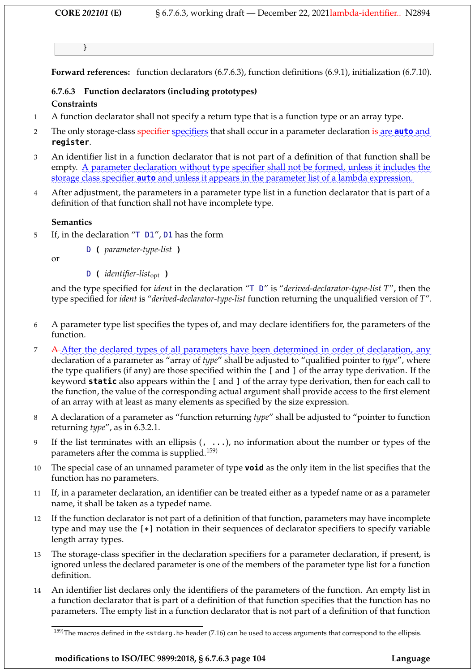}

**Forward references:** function declarators (6.7.6.3), function definitions (6.9.1), initialization (6.7.10).

# **6.7.6.3 Function declarators (including prototypes) Constraints**

- 1 A function declarator shall not specify a return type that is a function type or an array type.
- 2 The only storage-class specifier specifiers that shall occur in a parameter declaration is are **auto** and **register**.
- 3 An identifier list in a function declarator that is not part of a definition of that function shall be empty. A parameter declaration without type specifier shall not be formed, unless it includes the storage class specifier **auto** and unless it appears in the parameter list of a lambda expression.
- 4 After adjustment, the parameters in a parameter type list in a function declarator that is part of a definition of that function shall not have incomplete type.

# **Semantics**

5 If, in the declaration "T D1", D1 has the form

D **(** *parameter-type-list* **)**

or

D **(** *identifier-list*opt **)**

and the type specified for *ident* in the declaration "T D" is "*derived-declarator-type-list T*", then the type specified for *ident* is "*derived-declarator-type-list* function returning the unqualified version of *T*".

- 6 A parameter type list specifies the types of, and may declare identifiers for, the parameters of the function.
- 7 A-After the declared types of all parameters have been determined in order of declaration, any declaration of a parameter as "array of *type*" shall be adjusted to "qualified pointer to *type*", where the type qualifiers (if any) are those specified within the [ and ] of the array type derivation. If the keyword **static** also appears within the [ and ] of the array type derivation, then for each call to the function, the value of the corresponding actual argument shall provide access to the first element of an array with at least as many elements as specified by the size expression.
- 8 A declaration of a parameter as "function returning *type*" shall be adjusted to "pointer to function returning *type*", as in 6.3.2.1.
- 9 If the list terminates with an ellipsis (, ...), no information about the number or types of the parameters after the comma is supplied.<sup>159)</sup>
- 10 The special case of an unnamed parameter of type **void** as the only item in the list specifies that the function has no parameters.
- 11 If, in a parameter declaration, an identifier can be treated either as a typedef name or as a parameter name, it shall be taken as a typedef name.
- 12 If the function declarator is not part of a definition of that function, parameters may have incomplete type and may use the [\*] notation in their sequences of declarator specifiers to specify variable length array types.
- 13 The storage-class specifier in the declaration specifiers for a parameter declaration, if present, is ignored unless the declared parameter is one of the members of the parameter type list for a function definition.
- 14 An identifier list declares only the identifiers of the parameters of the function. An empty list in a function declarator that is part of a definition of that function specifies that the function has no parameters. The empty list in a function declarator that is not part of a definition of that function

 $159$ )The macros defined in the <stdarg.h> header (7.16) can be used to access arguments that correspond to the ellipsis.